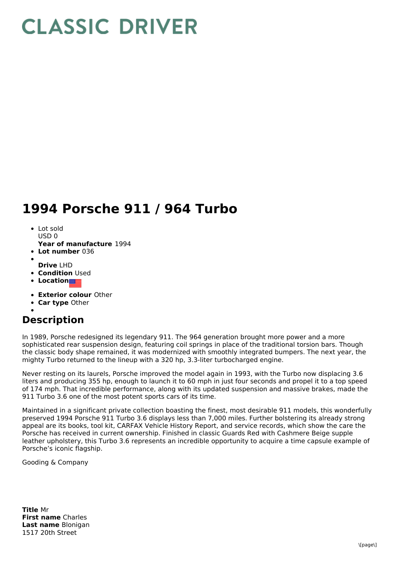## **CLASSIC DRIVER**

## **1994 Porsche 911 / 964 Turbo**

- Lot sold USD 0
- **Year of manufacture** 1994
- **Lot number** 036
- 
- **Drive** LHD **• Condition Used**
- 
- **Location**
- **Exterior colour** Other
- **Car type** Other

## **Description**

In 1989, Porsche redesigned its legendary 911. The 964 generation brought more power and a more sophisticated rear suspension design, featuring coil springs in place of the traditional torsion bars. Though the classic body shape remained, it was modernized with smoothly integrated bumpers. The next year, the mighty Turbo returned to the lineup with a 320 hp, 3.3-liter turbocharged engine.

Never resting on its laurels, Porsche improved the model again in 1993, with the Turbo now displacing 3.6 liters and producing 355 hp, enough to launch it to 60 mph in just four seconds and propel it to a top speed of 174 mph. That incredible performance, along with its updated suspension and massive brakes, made the 911 Turbo 3.6 one of the most potent sports cars of its time.

Maintained in a significant private collection boasting the finest, most desirable 911 models, this wonderfully preserved 1994 Porsche 911 Turbo 3.6 displays less than 7,000 miles. Further bolstering its already strong appeal are its books, tool kit, CARFAX Vehicle History Report, and service records, which show the care the Porsche has received in current ownership. Finished in classic Guards Red with Cashmere Beige supple leather upholstery, this Turbo 3.6 represents an incredible opportunity to acquire a time capsule example of Porsche's iconic flagship.

Gooding & Company

**Title** Mr **First name** Charles **Last name** Blonigan 1517 20th Street